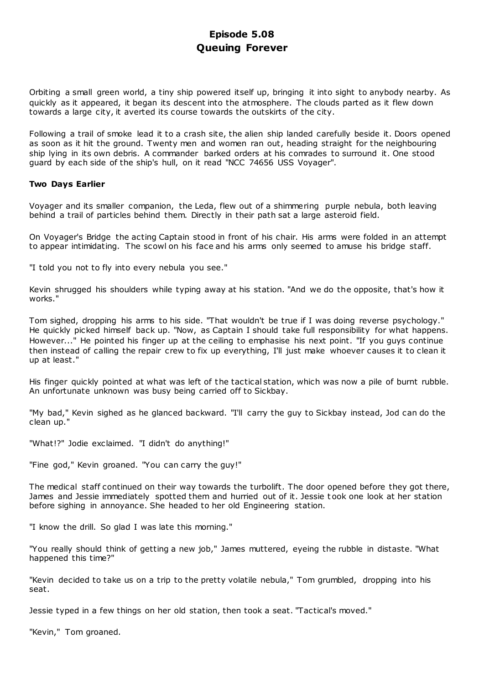# **Episode 5.08 Queuing Forever**

Orbiting a small green world, a tiny ship powered itself up, bringing it into sight to anybody nearby. As quickly as it appeared, it began its descent into the atmosphere. The clouds parted as it flew down towards a large city, it averted its course towards the outskirts of the city.

Following a trail of smoke lead it to a crash site, the alien ship landed carefully beside it. Doors opened as soon as it hit the ground. Twenty men and women ran out, heading straight for the neighbouring ship lying in its own debris. A commander barked orders at his comrades to surround it. One stood guard by each side of the ship's hull, on it read "NCC 74656 USS Voyager".

# **Two Days Earlier**

Voyager and its smaller companion, the Leda, flew out of a shimmering purple nebula, both leaving behind a trail of particles behind them. Directly in their path sat a large asteroid field.

On Voyager's Bridge the acting Captain stood in front of his chair. His arms were folded in an attempt to appear intimidating. The scowl on his face and his arms only seemed to amuse his bridge staff.

"I told you not to fly into every nebula you see."

Kevin shrugged his shoulders while typing away at his station. "And we do the opposite, that's how it works."

Tom sighed, dropping his arms to his side. "That wouldn't be true if I was doing reverse psychology." He quickly picked himself back up. "Now, as Captain I should take full responsibility for what happens. However..." He pointed his finger up at the ceiling to emphasise his next point. "If you guys continue then instead of calling the repair crew to fix up everything, I'll just make whoever causes it to clean it up at least."

His finger quickly pointed at what was left of the tactical station, which was now a pile of burnt rubble. An unfortunate unknown was busy being carried off to Sickbay.

"My bad," Kevin sighed as he glanced backward. "I'll carry the guy to Sickbay instead, Jod can do the clean up."

"What!?" Jodie exclaimed. "I didn't do anything!"

"Fine god," Kevin groaned. "You can carry the guy!"

The medical staff continued on their way towards the turbolift. The door opened before they got there, James and Jessie immediately spotted them and hurried out of it. Jessie t ook one look at her station before sighing in annoyance. She headed to her old Engineering station.

"I know the drill. So glad I was late this morning."

"You really should think of getting a new job," James muttered, eyeing the rubble in distaste. "What happened this time?"

"Kevin decided to take us on a trip to the pretty volatile nebula," Tom grumbled, dropping into his seat.

Jessie typed in a few things on her old station, then took a seat. "Tactical's moved."

"Kevin," Tom groaned.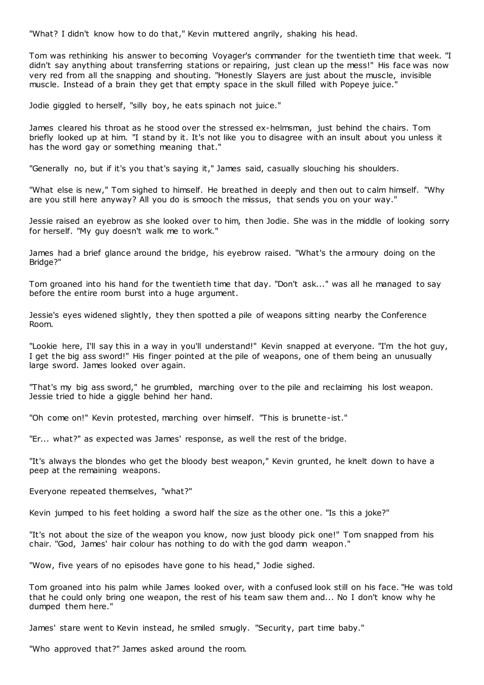"What? I didn't know how to do that," Kevin muttered angrily, shaking his head.

Tom was rethinking his answer to becoming Voyager's commander for the twentieth time that week. "I didn't say anything about transferring stations or repairing, just clean up the mess!" His face was now very red from all the snapping and shouting. "Honestly Slayers are just about the muscle, invisible muscle. Instead of a brain they get that empty space in the skull filled with Popeye juice."

Jodie giggled to herself, "silly boy, he eats spinach not juice."

James cleared his throat as he stood over the stressed ex-helmsman, just behind the chairs. Tom briefly looked up at him. "I stand by it. It's not like you to disagree with an insult about you unless it has the word gay or something meaning that."

"Generally no, but if it's you that's saying it," James said, casually slouching his shoulders.

"What else is new," Tom sighed to himself. He breathed in deeply and then out to calm himself. "Why are you still here anyway? All you do is smooch the missus, that sends you on your way."

Jessie raised an eyebrow as she looked over to him, then Jodie. She was in the middle of looking sorry for herself. "My guy doesn't walk me to work."

James had a brief glance around the bridge, his eyebrow raised. "What's the armoury doing on the Bridge?"

Tom groaned into his hand for the twentieth time that day. "Don't ask..." was all he managed to say before the entire room burst into a huge argument.

Jessie's eyes widened slightly, they then spotted a pile of weapons sitting nearby the Conference Room.

"Lookie here, I'll say this in a way in you'll understand!" Kevin snapped at everyone. "I'm the hot guy, I get the big ass sword!" His finger pointed at the pile of weapons, one of them being an unusually large sword. James looked over again.

"That's my big ass sword," he grumbled, marching over to the pile and reclaiming his lost weapon. Jessie tried to hide a giggle behind her hand.

"Oh come on!" Kevin protested, marching over himself. "This is brunette-ist."

"Er... what?" as expected was James' response, as well the rest of the bridge.

"It's always the blondes who get the bloody best weapon," Kevin grunted, he knelt down to have a peep at the remaining weapons.

Everyone repeated themselves, "what?"

Kevin jumped to his feet holding a sword half the size as the other one. "Is this a joke?"

"It's not about the size of the weapon you know, now just bloody pick one!" Tom snapped from his chair. "God, James' hair colour has nothing to do with the god damn weapon."

"Wow, five years of no episodes have gone to his head," Jodie sighed.

Tom groaned into his palm while James looked over, with a confused look still on his face. "He was told that he could only bring one weapon, the rest of his team saw them and... No I don't know why he dumped them here."

James' stare went to Kevin instead, he smiled smugly. "Security, part time baby."

"Who approved that?" James asked around the room.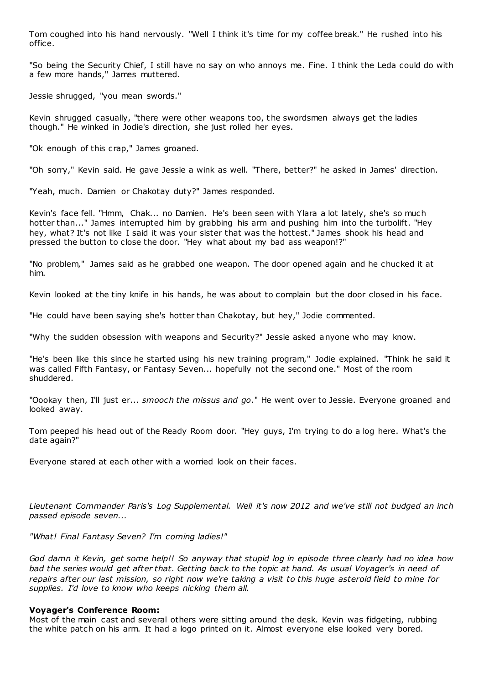Tom coughed into his hand nervously. "Well I think it's time for my coffee break." He rushed into his office.

"So being the Security Chief, I still have no say on who annoys me. Fine. I think the Leda could do with a few more hands," James muttered.

Jessie shrugged, "you mean swords."

Kevin shrugged casually, "there were other weapons too, the swordsmen always get the ladies though." He winked in Jodie's direction, she just rolled her eyes.

"Ok enough of this crap," James groaned.

"Oh sorry," Kevin said. He gave Jessie a wink as well. "There, better?" he asked in James' direction.

"Yeah, much. Damien or Chakotay duty?" James responded.

Kevin's face fell. "Hmm, Chak... no Damien. He's been seen with Ylara a lot lately, she's so much hotter than..." James interrupted him by grabbing his arm and pushing him into the turbolift. "Hey hey, what? It's not like I said it was your sister that was the hottest." James shook his head and pressed the button to close the door. "Hey what about my bad ass weapon!?"

"No problem," James said as he grabbed one weapon. The door opened again and he chucked it at him.

Kevin looked at the tiny knife in his hands, he was about to complain but the door closed in his face.

"He could have been saying she's hotter than Chakotay, but hey," Jodie commented.

"Why the sudden obsession with weapons and Security?" Jessie asked anyone who may know.

"He's been like this since he started using his new training program," Jodie explained. "Think he said it was called Fifth Fantasy, or Fantasy Seven... hopefully not the second one." Most of the room shuddered.

"Oookay then, I'll just er... *smooch the missus and go*." He went over to Jessie. Everyone groaned and looked away.

Tom peeped his head out of the Ready Room door. "Hey guys, I'm trying to do a log here. What's the date again?"

Everyone stared at each other with a worried look on their faces.

*Lieutenant Commander Paris's Log Supplemental. Well it's now 2012 and we've still not budged an inch passed episode seven...*

*"What! Final Fantasy Seven? I'm coming ladies!"*

*God damn it Kevin, get some help!! So anyway that stupid log in episode three clearly had no idea how bad the series would get after that. Getting back to the topic at hand. As usual Voyager's in need of repairs after our last mission, so right now we're taking a visit to this huge asteroid field to mine for supplies. I'd love to know who keeps nicking them all.*

# **Voyager's Conference Room:**

Most of the main cast and several others were sitting around the desk. Kevin was fidgeting, rubbing the white patch on his arm. It had a logo printed on it. Almost everyone else looked very bored.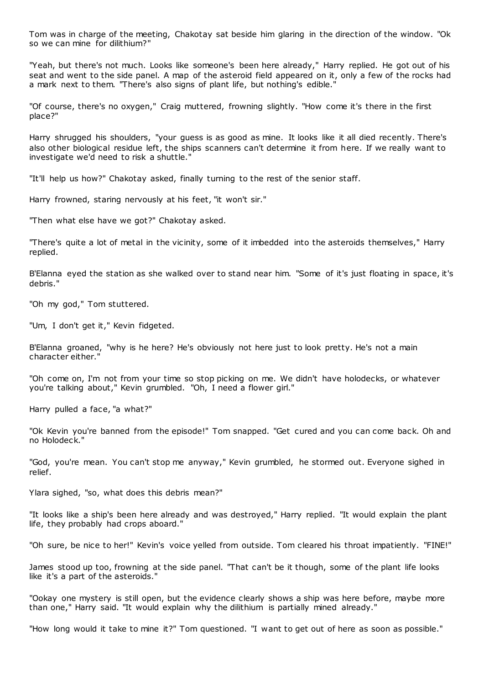Tom was in charge of the meeting, Chakotay sat beside him glaring in the direction of the window. "Ok so we can mine for dilithium?"

"Yeah, but there's not much. Looks like someone's been here already," Harry replied. He got out of his seat and went to the side panel. A map of the asteroid field appeared on it, only a few of the rocks had a mark next to them. "There's also signs of plant life, but nothing's edible."

"Of course, there's no oxygen," Craig muttered, frowning slightly. "How come it's there in the first place?"

Harry shrugged his shoulders, "your guess is as good as mine. It looks like it all died recently. There's also other biological residue left, the ships scanners can't determine it from here. If we really want to investigate we'd need to risk a shuttle."

"It'll help us how?" Chakotay asked, finally turning to the rest of the senior staff.

Harry frowned, staring nervously at his feet, "it won't sir."

"Then what else have we got?" Chakotay asked.

"There's quite a lot of metal in the vicinity, some of it imbedded into the asteroids themselves," Harry replied.

B'Elanna eyed the station as she walked over to stand near him. "Some of it's just floating in space, it's debris."

"Oh my god," Tom stuttered.

"Um, I don't get it," Kevin fidgeted.

B'Elanna groaned, "why is he here? He's obviously not here just to look pretty. He's not a main character either."

"Oh come on, I'm not from your time so stop picking on me. We didn't have holodecks, or whatever you're talking about," Kevin grumbled. "Oh, I need a flower girl."

Harry pulled a face, "a what?"

"Ok Kevin you're banned from the episode!" Tom snapped. "Get cured and you can come back. Oh and no Holodeck."

"God, you're mean. You can't stop me anyway," Kevin grumbled, he stormed out. Everyone sighed in relief.

Ylara sighed, "so, what does this debris mean?"

"It looks like a ship's been here already and was destroyed," Harry replied. "It would explain the plant life, they probably had crops aboard."

"Oh sure, be nice to her!" Kevin's voice yelled from outside. Tom cleared his throat impatiently. "FINE!"

James stood up too, frowning at the side panel. "That can't be it though, some of the plant life looks like it's a part of the asteroids."

"Ookay one mystery is still open, but the evidence clearly shows a ship was here before, maybe more than one," Harry said. "It would explain why the dilithium is partially mined already."

"How long would it take to mine it?" Tom questioned. "I want to get out of here as soon as possible."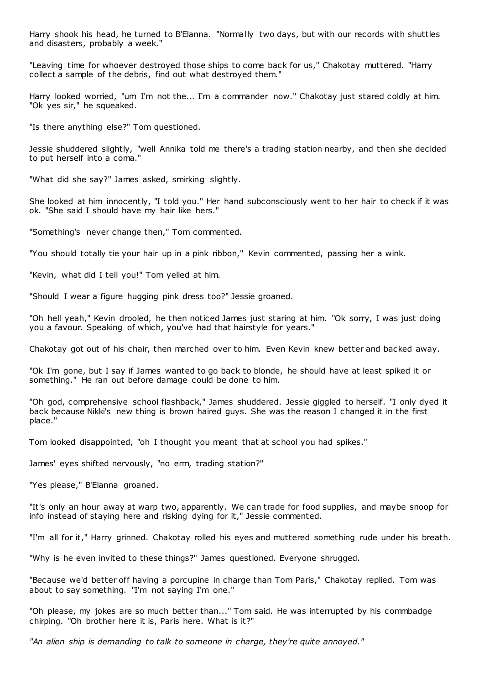Harry shook his head, he turned to B'Elanna. "Normally two days, but with our records with shuttles and disasters, probably a week."

"Leaving time for whoever destroyed those ships to come back for us," Chakotay muttered. "Harry collect a sample of the debris, find out what destroyed them."

Harry looked worried, "um I'm not the... I'm a commander now." Chakotay just stared coldly at him. "Ok yes sir," he squeaked.

"Is there anything else?" Tom questioned.

Jessie shuddered slightly, "well Annika told me there's a trading station nearby, and then she decided to put herself into a coma."

"What did she say?" James asked, smirking slightly.

She looked at him innocently, "I told you." Her hand subconsciously went to her hair to check if it was ok. "She said I should have my hair like hers."

"Something's never change then," Tom commented.

"You should totally tie your hair up in a pink ribbon," Kevin commented, passing her a wink.

"Kevin, what did I tell you!" Tom yelled at him.

"Should I wear a figure hugging pink dress too?" Jessie groaned.

"Oh hell yeah," Kevin drooled, he then noticed James just staring at him. "Ok sorry, I was just doing you a favour. Speaking of which, you've had that hairstyle for years."

Chakotay got out of his chair, then marched over to him. Even Kevin knew better and backed away.

"Ok I'm gone, but I say if James wanted to go back to blonde, he should have at least spiked it or something." He ran out before damage could be done to him.

"Oh god, comprehensive school flashback," James shuddered. Jessie giggled to herself. "I only dyed it back because Nikki's new thing is brown haired guys. She was the reason I changed it in the first place."

Tom looked disappointed, "oh I thought you meant that at school you had spikes."

James' eyes shifted nervously, "no erm, trading station?"

"Yes please," B'Elanna groaned.

"It's only an hour away at warp two, apparently. We can trade for food supplies, and maybe snoop for info instead of staying here and risking dying for it," Jessie commented.

"I'm all for it," Harry grinned. Chakotay rolled his eyes and muttered something rude under his breath.

"Why is he even invited to these things?" James questioned. Everyone shrugged.

"Because we'd better off having a porcupine in charge than Tom Paris," Chakotay replied. Tom was about to say something. "I'm not saying I'm one."

"Oh please, my jokes are so much better than..." Tom said. He was interrupted by his commbadge chirping. "Oh brother here it is, Paris here. What is it?"

*"An alien ship is demanding to talk to someone in charge, they're quite annoyed."*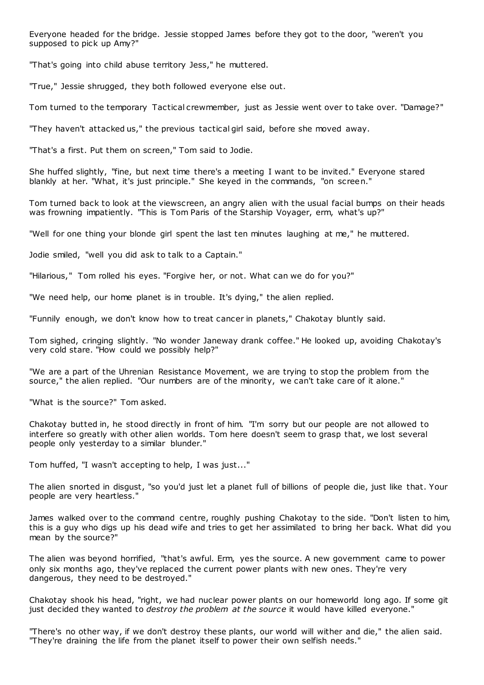Everyone headed for the bridge. Jessie stopped James before they got to the door, "weren't you supposed to pick up Amy?"

"That's going into child abuse territory Jess," he muttered.

"True," Jessie shrugged, they both followed everyone else out.

Tom turned to the temporary Tactical crewmember, just as Jessie went over to take over. "Damage?"

"They haven't attacked us," the previous tactical girl said, before she moved away.

"That's a first. Put them on screen," Tom said to Jodie.

She huffed slightly, "fine, but next time there's a meeting I want to be invited." Everyone stared blankly at her. "What, it's just principle." She keyed in the commands, "on screen."

Tom turned back to look at the viewscreen, an angry alien with the usual facial bumps on their heads was frowning impatiently. "This is Tom Paris of the Starship Voyager, erm, what's up?"

"Well for one thing your blonde girl spent the last ten minutes laughing at me," he muttered.

Jodie smiled, "well you did ask to talk to a Captain."

"Hilarious," Tom rolled his eyes. "Forgive her, or not. What can we do for you?"

"We need help, our home planet is in trouble. It's dying," the alien replied.

"Funnily enough, we don't know how to treat cancer in planets," Chakotay bluntly said.

Tom sighed, cringing slightly. "No wonder Janeway drank coffee." He looked up, avoiding Chakotay's very cold stare. "How could we possibly help?"

"We are a part of the Uhrenian Resistance Movement, we are trying to stop the problem from the source," the alien replied. "Our numbers are of the minority, we can't take care of it alone."

"What is the source?" Tom asked.

Chakotay butted in, he stood directly in front of him. "I'm sorry but our people are not allowed to interfere so greatly with other alien worlds. Tom here doesn't seem to grasp that, we lost several people only yesterday to a similar blunder."

Tom huffed, "I wasn't accepting to help, I was just..."

The alien snorted in disgust, "so you'd just let a planet full of billions of people die, just like that. Your people are very heartless."

James walked over to the command centre, roughly pushing Chakotay to the side. "Don't listen to him, this is a guy who digs up his dead wife and tries to get her assimilated to bring her back. What did you mean by the source?"

The alien was beyond horrified, "that's awful. Erm, yes the source. A new government came to power only six months ago, they've replaced the current power plants with new ones. They're very dangerous, they need to be destroyed."

Chakotay shook his head, "right, we had nuclear power plants on our homeworld long ago. If some git just decided they wanted to *destroy the problem at the source* it would have killed everyone."

"There's no other way, if we don't destroy these plants, our world will wither and die," the alien said. "They're draining the life from the planet itself to power their own selfish needs."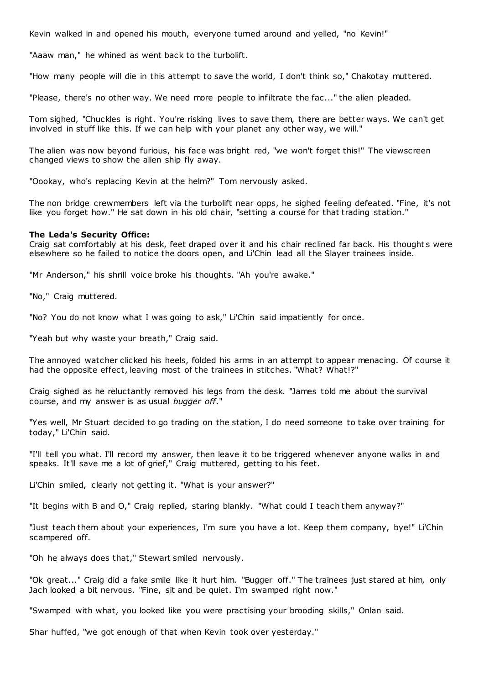Kevin walked in and opened his mouth, everyone turned around and yelled, "no Kevin!"

"Aaaw man," he whined as went back to the turbolift.

"How many people will die in this attempt to save the world, I don't think so," Chakotay muttered.

"Please, there's no other way. We need more people to infiltrate the fac ..." the alien pleaded.

Tom sighed, "Chuckles is right. You're risking lives to save them, there are better ways. We can't get involved in stuff like this. If we can help with your planet any other way, we will."

The alien was now beyond furious, his face was bright red, "we won't forget this!" The viewscreen changed views to show the alien ship fly away.

"Oookay, who's replacing Kevin at the helm?" Tom nervously asked.

The non bridge crewmembers left via the turbolift near opps, he sighed feeling defeated. "Fine, it's not like you forget how." He sat down in his old chair, "setting a course for that trading station."

# **The Leda's Security Office:**

Craig sat comfortably at his desk, feet draped over it and his chair reclined far back. His thought s were elsewhere so he failed to notice the doors open, and Li'Chin lead all the Slayer trainees inside.

"Mr Anderson," his shrill voice broke his thoughts. "Ah you're awake."

"No," Craig muttered.

"No? You do not know what I was going to ask," Li'Chin said impatiently for once.

"Yeah but why waste your breath," Craig said.

The annoyed watcher clicked his heels, folded his arms in an attempt to appear menacing. Of course it had the opposite effect, leaving most of the trainees in stitches. "What? What!?"

Craig sighed as he reluctantly removed his legs from the desk. "James told me about the survival course, and my answer is as usual *bugger off*."

"Yes well, Mr Stuart decided to go trading on the station, I do need someone to take over training for today," Li'Chin said.

"I'll tell you what. I'll record my answer, then leave it to be triggered whenever anyone walks in and speaks. It'll save me a lot of grief," Craig muttered, getting to his feet.

Li'Chin smiled, clearly not getting it. "What is your answer?"

"It begins with B and O," Craig replied, staring blankly. "What could I teach them anyway?"

"Just teach them about your experiences, I'm sure you have a lot. Keep them company, bye!" Li'Chin scampered off.

"Oh he always does that," Stewart smiled nervously.

"Ok great..." Craig did a fake smile like it hurt him. "Bugger off." The trainees just stared at him, only Jach looked a bit nervous. "Fine, sit and be quiet. I'm swamped right now."

"Swamped with what, you looked like you were practising your brooding skills," Onlan said.

Shar huffed, "we got enough of that when Kevin took over yesterday."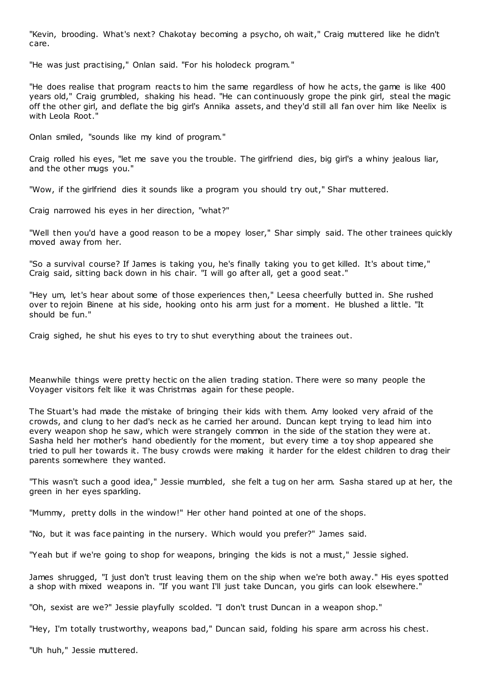"Kevin, brooding. What's next? Chakotay becoming a psycho, oh wait," Craig muttered like he didn't care.

"He was just practising," Onlan said. "For his holodeck program."

"He does realise that program reacts to him the same regardless of how he acts, the game is like 400 years old," Craig grumbled, shaking his head. "He can continuously grope the pink girl, steal the magic off the other girl, and deflate the big girl's Annika assets, and they'd still all fan over him like Neelix is with Leola Root."

Onlan smiled, "sounds like my kind of program."

Craig rolled his eyes, "let me save you the trouble. The girlfriend dies, big girl's a whiny jealous liar, and the other mugs you."

"Wow, if the girlfriend dies it sounds like a program you should try out," Shar muttered.

Craig narrowed his eyes in her direction, "what?"

"Well then you'd have a good reason to be a mopey loser," Shar simply said. The other trainees quickly moved away from her.

"So a survival course? If James is taking you, he's finally taking you to get killed. It's about time," Craig said, sitting back down in his chair. "I will go after all, get a good seat."

"Hey um, let's hear about some of those experiences then," Leesa cheerfully butted in. She rushed over to rejoin Binene at his side, hooking onto his arm just for a moment. He blushed a little. "It should be fun."

Craig sighed, he shut his eyes to try to shut everything about the trainees out.

Meanwhile things were pretty hectic on the alien trading station. There were so many people the Voyager visitors felt like it was Christmas again for these people.

The Stuart's had made the mistake of bringing their kids with them. Amy looked very afraid of the crowds, and clung to her dad's neck as he carried her around. Duncan kept trying to lead him into every weapon shop he saw, which were strangely common in the side of the station they were at. Sasha held her mother's hand obediently for the moment, but every time a toy shop appeared she tried to pull her towards it. The busy crowds were making it harder for the eldest children to drag their parents somewhere they wanted.

"This wasn't such a good idea," Jessie mumbled, she felt a tug on her arm. Sasha stared up at her, the green in her eyes sparkling.

"Mummy, pretty dolls in the window!" Her other hand pointed at one of the shops.

"No, but it was face painting in the nursery. Which would you prefer?" James said.

"Yeah but if we're going to shop for weapons, bringing the kids is not a must," Jessie sighed.

James shrugged, "I just don't trust leaving them on the ship when we're both away." His eyes spotted a shop with mixed weapons in. "If you want I'll just take Duncan, you girls can look elsewhere."

"Oh, sexist are we?" Jessie playfully scolded. "I don't trust Duncan in a weapon shop."

"Hey, I'm totally trustworthy, weapons bad," Duncan said, folding his spare arm across his chest.

"Uh huh," Jessie muttered.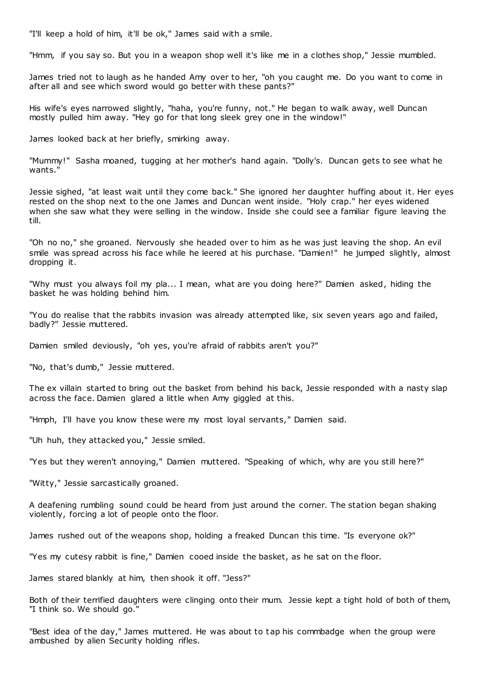"I'll keep a hold of him, it'll be ok," James said with a smile.

"Hmm, if you say so. But you in a weapon shop well it's like me in a clothes shop," Jessie mumbled.

James tried not to laugh as he handed Amy over to her, "oh you caught me. Do you want to come in after all and see which sword would go better with these pants?"

His wife's eyes narrowed slightly, "haha, you're funny, not." He began to walk away, well Duncan mostly pulled him away. "Hey go for that long sleek grey one in the window!"

James looked back at her briefly, smirking away.

"Mummy!" Sasha moaned, tugging at her mother's hand again. "Dolly's. Duncan gets to see what he wants."

Jessie sighed, "at least wait until they come back." She ignored her daughter huffing about it. Her eyes rested on the shop next to the one James and Duncan went inside. "Holy crap." her eyes widened when she saw what they were selling in the window. Inside she could see a familiar figure leaving the till.

"Oh no no," she groaned. Nervously she headed over to him as he was just leaving the shop. An evil smile was spread across his face while he leered at his purchase. "Damien!" he jumped slightly, almost dropping it.

"Why must you always foil my pla... I mean, what are you doing here?" Damien asked, hiding the basket he was holding behind him.

"You do realise that the rabbits invasion was already attempted like, six seven years ago and failed, badly?" Jessie muttered.

Damien smiled deviously, "oh yes, you're afraid of rabbits aren't you?"

"No, that's dumb," Jessie muttered.

The ex villain started to bring out the basket from behind his back, Jessie responded with a nasty slap across the face. Damien glared a little when Amy giggled at this.

"Hmph, I'll have you know these were my most loyal servants," Damien said.

"Uh huh, they attacked you," Jessie smiled.

"Yes but they weren't annoying," Damien muttered. "Speaking of which, why are you still here?"

"Witty," Jessie sarcastically groaned.

A deafening rumbling sound could be heard from just around the corner. The station began shaking violently, forcing a lot of people onto the floor.

James rushed out of the weapons shop, holding a freaked Duncan this time. "Is everyone ok?"

"Yes my cutesy rabbit is fine," Damien cooed inside the basket, as he sat on the floor.

James stared blankly at him, then shook it off. "Jess?"

Both of their terrified daughters were clinging onto their mum. Jessie kept a tight hold of both of them, "I think so. We should go."

"Best idea of the day," James muttered. He was about to tap his commbadge when the group were ambushed by alien Security holding rifles.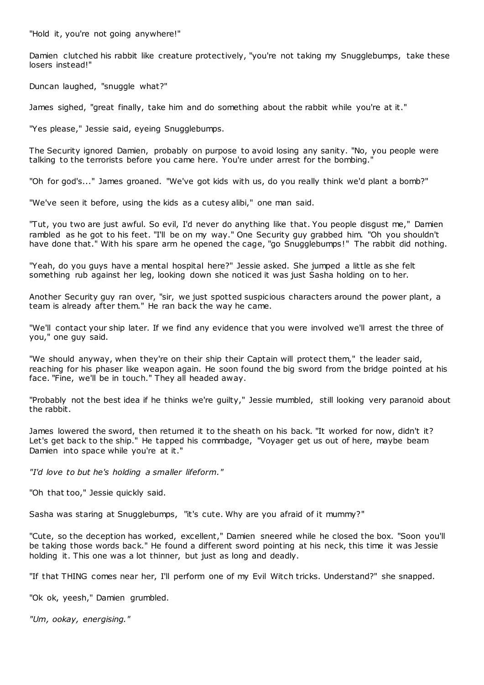"Hold it, you're not going anywhere!"

Damien clutched his rabbit like creature protectively, "you're not taking my Snugglebumps, take these losers instead!"

Duncan laughed, "snuggle what?"

James sighed, "great finally, take him and do something about the rabbit while you're at it."

"Yes please," Jessie said, eyeing Snugglebumps.

The Security ignored Damien, probably on purpose to avoid losing any sanity. "No, you people were talking to the terrorists before you came here. You're under arrest for the bombing."

"Oh for god's..." James groaned. "We've got kids with us, do you really think we'd plant a bomb?"

"We've seen it before, using the kids as a cutesy alibi," one man said.

"Tut, you two are just awful. So evil, I'd never do anything like that. You people disgust me," Damien rambled as he got to his feet. "I'll be on my way." One Security guy grabbed him. "Oh you shouldn't have done that." With his spare arm he opened the cage, "go Snugglebumps!" The rabbit did nothing.

"Yeah, do you guys have a mental hospital here?" Jessie asked. She jumped a little as she felt something rub against her leg, looking down she noticed it was just Sasha holding on to her.

Another Security guy ran over, "sir, we just spotted suspicious characters around the power plant, a team is already after them." He ran back the way he came.

"We'll contact your ship later. If we find any evidence that you were involved we'll arrest the three of you," one guy said.

"We should anyway, when they're on their ship their Captain will protect them," the leader said, reaching for his phaser like weapon again. He soon found the big sword from the bridge pointed at his face. "Fine, we'll be in touch." They all headed away.

"Probably not the best idea if he thinks we're guilty," Jessie mumbled, still looking very paranoid about the rabbit.

James lowered the sword, then returned it to the sheath on his back. "It worked for now, didn't it? Let's get back to the ship." He tapped his commbadge, "Voyager get us out of here, maybe beam Damien into space while you're at it."

*"I'd love to but he's holding a smaller lifeform."*

"Oh that too," Jessie quickly said.

Sasha was staring at Snugglebumps, "it's cute. Why are you afraid of it mummy?"

"Cute, so the deception has worked, excellent," Damien sneered while he closed the box. "Soon you'll be taking those words back." He found a different sword pointing at his neck, this time it was Jessie holding it. This one was a lot thinner, but just as long and deadly.

"If that THING comes near her, I'll perform one of my Evil Witch tricks. Understand?" she snapped.

"Ok ok, yeesh," Damien grumbled.

*"Um, ookay, energising."*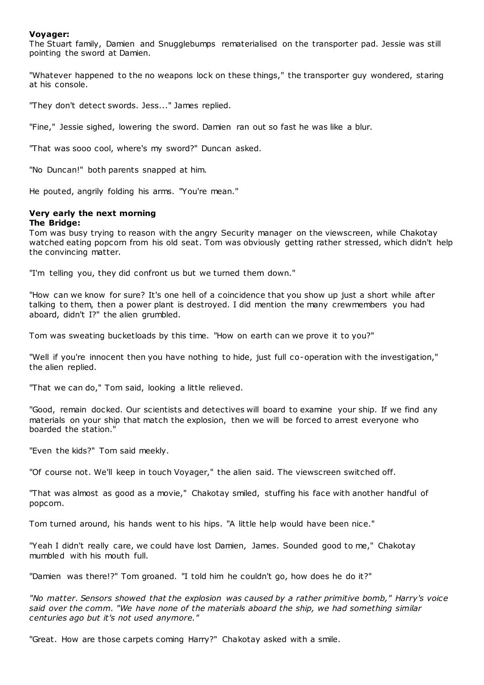# **Voyager:**

The Stuart family, Damien and Snugglebumps rematerialised on the transporter pad. Jessie was still pointing the sword at Damien.

"Whatever happened to the no weapons lock on these things," the transporter guy wondered, staring at his console.

"They don't detect swords. Jess..." James replied.

"Fine," Jessie sighed, lowering the sword. Damien ran out so fast he was like a blur.

"That was sooo cool, where's my sword?" Duncan asked.

"No Duncan!" both parents snapped at him.

He pouted, angrily folding his arms. "You're mean."

### **Very early the next morning The Bridge:**

Tom was busy trying to reason with the angry Security manager on the viewscreen, while Chakotay watched eating popcorn from his old seat. Tom was obviously getting rather stressed, which didn't help the convincing matter.

"I'm telling you, they did confront us but we turned them down."

"How can we know for sure? It's one hell of a coincidence that you show up just a short while after talking to them, then a power plant is destroyed. I did mention the many crewmembers you had aboard, didn't I?" the alien grumbled.

Tom was sweating bucketloads by this time. "How on earth can we prove it to you?"

"Well if you're innocent then you have nothing to hide, just full co-operation with the investigation," the alien replied.

"That we can do," Tom said, looking a little relieved.

"Good, remain docked. Our scientists and detectives will board to examine your ship. If we find any materials on your ship that match the explosion, then we will be forced to arrest everyone who boarded the station."

"Even the kids?" Tom said meekly.

"Of course not. We'll keep in touch Voyager," the alien said. The viewscreen switched off.

"That was almost as good as a movie," Chakotay smiled, stuffing his face with another handful of popcorn.

Tom turned around, his hands went to his hips. "A little help would have been nice."

"Yeah I didn't really care, we could have lost Damien, James. Sounded good to me," Chakotay mumbled with his mouth full.

"Damien was there!?" Tom groaned. "I told him he couldn't go, how does he do it?"

*"No matter. Sensors showed that the explosion was caused by a rather primitive bomb," Harry's voice said over the comm. "We have none of the materials aboard the ship, we had something similar centuries ago but it's not used anymore."*

"Great. How are those carpets coming Harry?" Chakotay asked with a smile.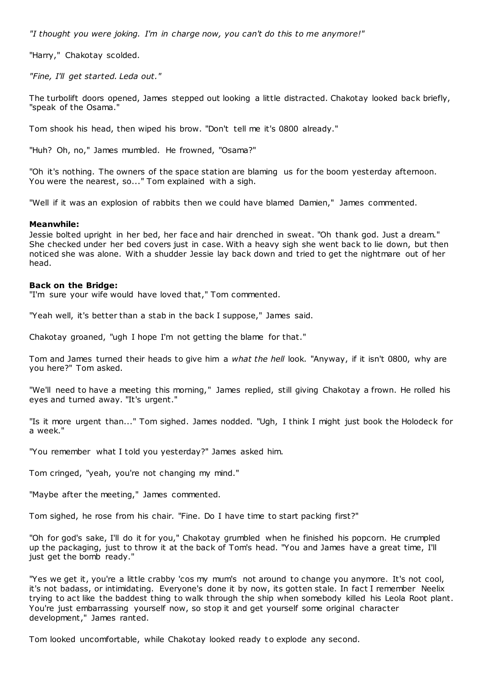*"I thought you were joking. I'm in charge now, you can't do this to me anymore!"*

"Harry," Chakotay scolded.

*"Fine, I'll get started. Leda out."*

The turbolift doors opened, James stepped out looking a little distracted. Chakotay looked back briefly, "speak of the Osama."

Tom shook his head, then wiped his brow. "Don't tell me it's 0800 already."

"Huh? Oh, no," James mumbled. He frowned, "Osama?"

"Oh it's nothing. The owners of the space station are blaming us for the boom yesterday afternoon. You were the nearest, so..." Tom explained with a sigh.

"Well if it was an explosion of rabbits then we could have blamed Damien," James commented.

#### **Meanwhile:**

Jessie bolted upright in her bed, her face and hair drenched in sweat. "Oh thank god. Just a dream." She checked under her bed covers just in case. With a heavy sigh she went back to lie down, but then noticed she was alone. With a shudder Jessie lay back down and tried to get the nightmare out of her head.

#### **Back on the Bridge:**

"I'm sure your wife would have loved that," Tom commented.

"Yeah well, it's better than a stab in the back I suppose," James said.

Chakotay groaned, "ugh I hope I'm not getting the blame for that."

Tom and James turned their heads to give him a *what the hell* look. "Anyway, if it isn't 0800, why are you here?" Tom asked.

"We'll need to have a meeting this morning," James replied, still giving Chakotay a frown. He rolled his eyes and turned away. "It's urgent."

"Is it more urgent than..." Tom sighed. James nodded. "Ugh, I think I might just book the Holodeck for a week."

"You remember what I told you yesterday?" James asked him.

Tom cringed, "yeah, you're not changing my mind."

"Maybe after the meeting," James commented.

Tom sighed, he rose from his chair. "Fine. Do I have time to start packing first?"

"Oh for god's sake, I'll do it for you," Chakotay grumbled when he finished his popcorn. He crumpled up the packaging, just to throw it at the back of Tom's head. "You and James have a great time, I'll just get the bomb ready."

"Yes we get it, you're a little crabby 'cos my mum's not around to change you anymore. It's not cool, it's not badass, or intimidating. Everyone's done it by now, its gotten stale. In fact I remember Neelix trying to act like the baddest thing to walk through the ship when somebody killed his Leola Root plant. You're just embarrassing yourself now, so stop it and get yourself some original character development," James ranted.

Tom looked uncomfortable, while Chakotay looked ready to explode any second.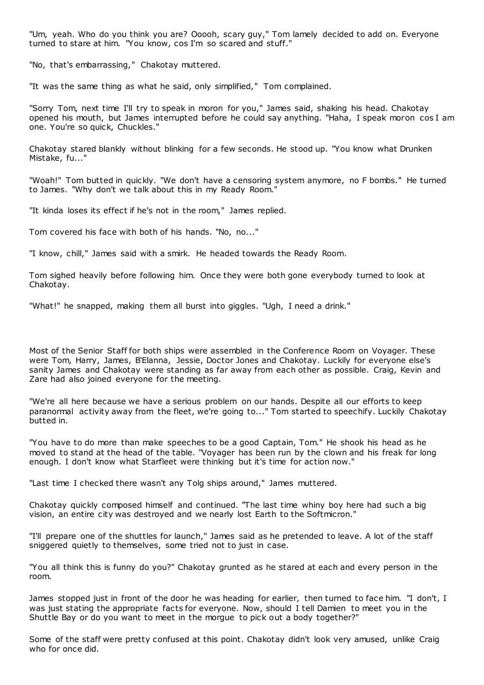"Um, yeah. Who do you think you are? Ooooh, scary guy," Tom lamely decided to add on. Everyone turned to stare at him. "You know, cos I'm so scared and stuff."

"No, that's embarrassing," Chakotay muttered.

"It was the same thing as what he said, only simplified," Tom complained.

"Sorry Tom, next time I'll try to speak in moron for you," James said, shaking his head. Chakotay opened his mouth, but James interrupted before he could say anything. "Haha, I speak moron cos I am one. You're so quick, Chuckles."

Chakotay stared blankly without blinking for a few seconds. He stood up. "You know what Drunken Mistake, fu..."

"Woah!" Tom butted in quickly. "We don't have a censoring system anymore, no F bombs." He turned to James. "Why don't we talk about this in my Ready Room."

"It kinda loses its effect if he's not in the room," James replied.

Tom covered his face with both of his hands. "No, no..."

"I know, chill," James said with a smirk. He headed towards the Ready Room.

Tom sighed heavily before following him. Once they were both gone everybody turned to look at Chakotay.

"What!" he snapped, making them all burst into giggles. "Ugh, I need a drink."

Most of the Senior Staff for both ships were assembled in the Conference Room on Voyager. These were Tom, Harry, James, B'Elanna, Jessie, Doctor Jones and Chakotay. Luckily for everyone else's sanity James and Chakotay were standing as far away from each other as possible. Craig, Kevin and Zare had also joined everyone for the meeting.

"We're all here because we have a serious problem on our hands. Despite all our efforts to keep paranormal activity away from the fleet, we're going to..." Tom started to speechify. Luckily Chakotay butted in.

"You have to do more than make speeches to be a good Captain, Tom." He shook his head as he moved to stand at the head of the table. "Voyager has been run by the clown and his freak for long enough. I don't know what Starfleet were thinking but it's time for action now."

"Last time I checked there wasn't any Tolg ships around," James muttered.

Chakotay quickly composed himself and continued. "The last time whiny boy here had such a big vision, an entire city was destroyed and we nearly lost Earth to the Softmicron."

"I'll prepare one of the shuttles for launch," James said as he pretended to leave. A lot of the staff sniggered quietly to themselves, some tried not to just in case.

"You all think this is funny do you?" Chakotay grunted as he stared at each and every person in the room.

James stopped just in front of the door he was heading for earlier, then turned to face him. "I don't, I was just stating the appropriate facts for everyone. Now, should I tell Damien to meet you in the Shuttle Bay or do you want to meet in the morgue to pick out a body together?"

Some of the staff were pretty confused at this point. Chakotay didn't look very amused, unlike Craig who for once did.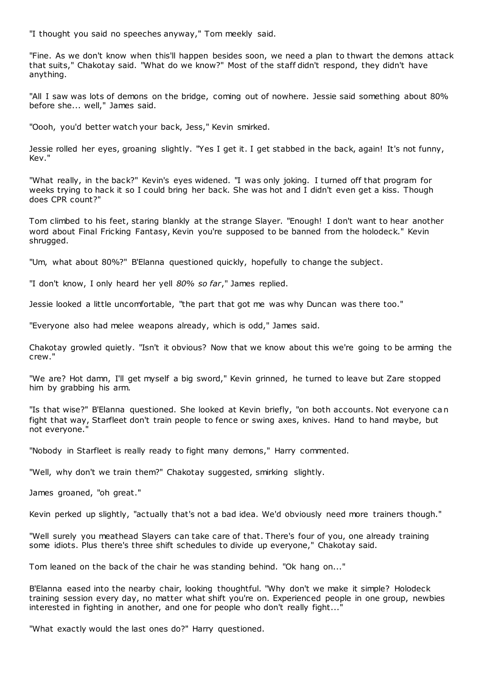"I thought you said no speeches anyway," Tom meekly said.

"Fine. As we don't know when this'll happen besides soon, we need a plan to thwart the demons attack that suits," Chakotay said. "What do we know?" Most of the staff didn't respond, they didn't have anything.

"All I saw was lots of demons on the bridge, coming out of nowhere. Jessie said something about 80% before she... well," James said.

"Oooh, you'd better watch your back, Jess," Kevin smirked.

Jessie rolled her eyes, groaning slightly. "Yes I get it. I get stabbed in the back, again! It's not funny, Kev."

"What really, in the back?" Kevin's eyes widened. "I was only joking. I turned off that program for weeks trying to hack it so I could bring her back. She was hot and I didn't even get a kiss. Though does CPR count?"

Tom climbed to his feet, staring blankly at the strange Slayer. "Enough! I don't want to hear another word about Final Fricking Fantasy, Kevin you're supposed to be banned from the holodeck." Kevin shrugged.

"Um, what about 80%?" B'Elanna questioned quickly, hopefully to change the subject.

"I don't know, I only heard her yell *80% so far*," James replied.

Jessie looked a little uncomfortable, "the part that got me was why Duncan was there too."

"Everyone also had melee weapons already, which is odd," James said.

Chakotay growled quietly. "Isn't it obvious? Now that we know about this we're going to be arming the crew."

"We are? Hot damn, I'll get myself a big sword," Kevin grinned, he turned to leave but Zare stopped him by grabbing his arm.

"Is that wise?" B'Elanna questioned. She looked at Kevin briefly, "on both accounts. Not everyone can fight that way, Starfleet don't train people to fence or swing axes, knives. Hand to hand maybe, but not everyone."

"Nobody in Starfleet is really ready to fight many demons," Harry commented.

"Well, why don't we train them?" Chakotay suggested, smirking slightly.

James groaned, "oh great."

Kevin perked up slightly, "actually that's not a bad idea. We'd obviously need more trainers though."

"Well surely you meathead Slayers can take care of that. There's four of you, one already training some idiots. Plus there's three shift schedules to divide up everyone," Chakotay said.

Tom leaned on the back of the chair he was standing behind. "Ok hang on..."

B'Elanna eased into the nearby chair, looking thoughtful. "Why don't we make it simple? Holodeck training session every day, no matter what shift you're on. Experienced people in one group, newbies interested in fighting in another, and one for people who don't really fight..."

"What exactly would the last ones do?" Harry questioned.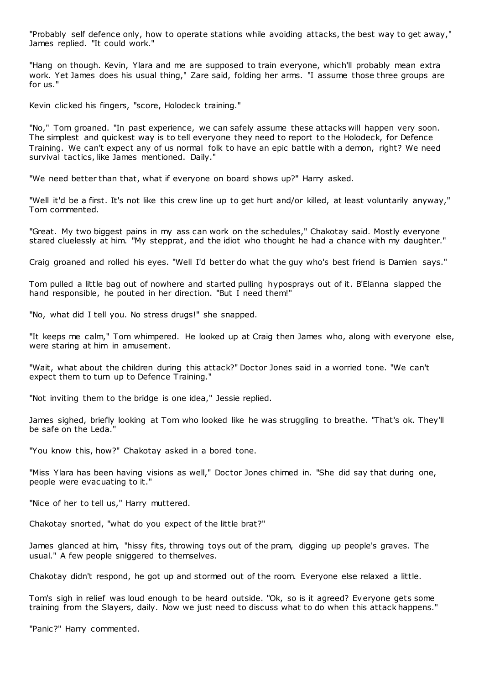"Probably self defence only, how to operate stations while avoiding attacks, the best way to get away," James replied. "It could work."

"Hang on though. Kevin, Ylara and me are supposed to train everyone, which'll probably mean extra work. Yet James does his usual thing," Zare said, folding her arms. "I assume those three groups are for us."

Kevin clicked his fingers, "score, Holodeck training."

"No," Tom groaned. "In past experience, we can safely assume these attacks will happen very soon. The simplest and quickest way is to tell everyone they need to report to the Holodeck, for Defence Training. We can't expect any of us normal folk to have an epic battle with a demon, right? We need survival tactics, like James mentioned. Daily."

"We need better than that, what if everyone on board shows up?" Harry asked.

"Well it'd be a first. It's not like this crew line up to get hurt and/or killed, at least voluntarily anyway," Tom commented.

"Great. My two biggest pains in my ass can work on the schedules," Chakotay said. Mostly everyone stared cluelessly at him. "My stepprat, and the idiot who thought he had a chance with my daughter."

Craig groaned and rolled his eyes. "Well I'd better do what the guy who's best friend is Damien says."

Tom pulled a little bag out of nowhere and started pulling hyposprays out of it. B'Elanna slapped the hand responsible, he pouted in her direction. "But I need them!"

"No, what did I tell you. No stress drugs!" she snapped.

"It keeps me calm," Tom whimpered. He looked up at Craig then James who, along with everyone else, were staring at him in amusement.

"Wait, what about the children during this attack?" Doctor Jones said in a worried tone. "We can't expect them to turn up to Defence Training."

"Not inviting them to the bridge is one idea," Jessie replied.

James sighed, briefly looking at Tom who looked like he was struggling to breathe. "That's ok. They'll be safe on the Leda."

"You know this, how?" Chakotay asked in a bored tone.

"Miss Ylara has been having visions as well," Doctor Jones chimed in. "She did say that during one, people were evacuating to it."

"Nice of her to tell us," Harry muttered.

Chakotay snorted, "what do you expect of the little brat?"

James glanced at him, "hissy fits, throwing toys out of the pram, digging up people's graves. The usual." A few people sniggered to themselves.

Chakotay didn't respond, he got up and stormed out of the room. Everyone else relaxed a little.

Tom's sigh in relief was loud enough to be heard outside. "Ok, so is it agreed? Everyone gets some training from the Slayers, daily. Now we just need to discuss what to do when this attack happens."

"Panic?" Harry commented.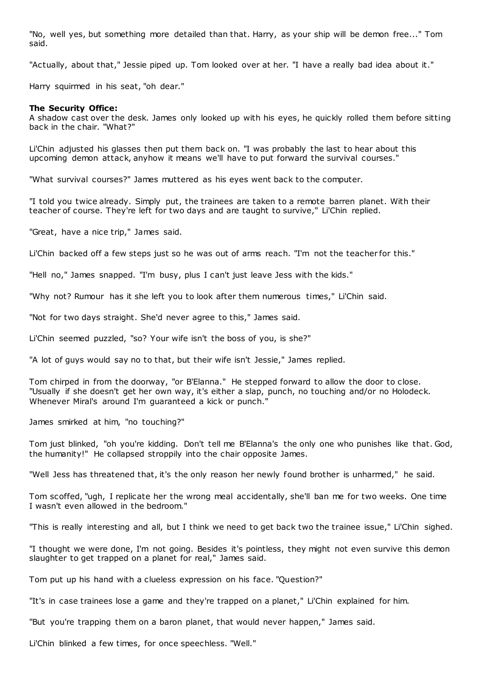"No, well yes, but something more detailed than that. Harry, as your ship will be demon free..." Tom said.

"Actually, about that," Jessie piped up. Tom looked over at her. "I have a really bad idea about it."

Harry squirmed in his seat, "oh dear."

### **The Security Office:**

A shadow cast over the desk. James only looked up with his eyes, he quickly rolled them before sitting back in the chair. "What?"

Li'Chin adjusted his glasses then put them back on. "I was probably the last to hear about this upcoming demon attack, anyhow it means we'll have to put forward the survival courses."

"What survival courses?" James muttered as his eyes went back to the computer.

"I told you twice already. Simply put, the trainees are taken to a remote barren planet. With their teacher of course. They're left for two days and are taught to survive," Li'Chin replied.

"Great, have a nice trip," James said.

Li'Chin backed off a few steps just so he was out of arms reach. "I'm not the teacher for this."

"Hell no," James snapped. "I'm busy, plus I can't just leave Jess with the kids."

"Why not? Rumour has it she left you to look after them numerous times," Li'Chin said.

"Not for two days straight. She'd never agree to this," James said.

Li'Chin seemed puzzled, "so? Your wife isn't the boss of you, is she?"

"A lot of guys would say no to that, but their wife isn't Jessie," James replied.

Tom chirped in from the doorway, "or B'Elanna." He stepped forward to allow the door to close. "Usually if she doesn't get her own way, it's either a slap, punch, no touching and/or no Holodeck. Whenever Miral's around I'm guaranteed a kick or punch."

James smirked at him, "no touching?"

Tom just blinked, "oh you're kidding. Don't tell me B'Elanna's the only one who punishes like that. God, the humanity!" He collapsed stroppily into the chair opposite James.

"Well Jess has threatened that, it's the only reason her newly found brother is unharmed," he said.

Tom scoffed, "ugh, I replicate her the wrong meal accidentally, she'll ban me for two weeks. One time I wasn't even allowed in the bedroom."

"This is really interesting and all, but I think we need to get back two the trainee issue," Li'Chin sighed.

"I thought we were done, I'm not going. Besides it's pointless, they might not even survive this demon slaughter to get trapped on a planet for real," James said.

Tom put up his hand with a clueless expression on his face. "Question?"

"It's in case trainees lose a game and they're trapped on a planet," Li'Chin explained for him.

"But you're trapping them on a baron planet, that would never happen," James said.

Li'Chin blinked a few times, for once speechless. "Well."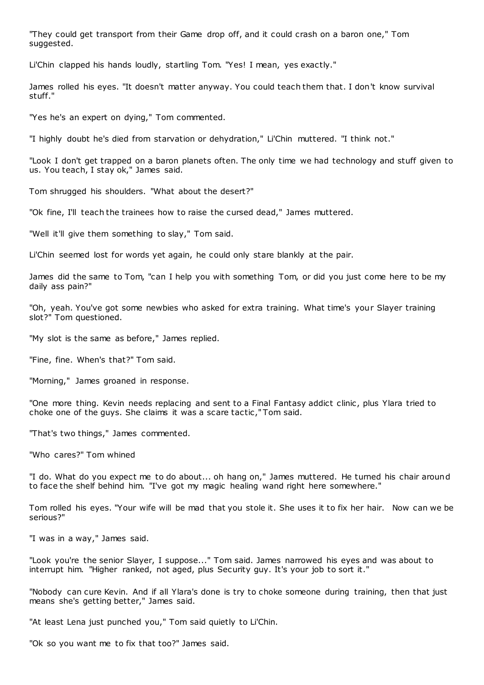"They could get transport from their Game drop off, and it could crash on a baron one," Tom suggested.

Li'Chin clapped his hands loudly, startling Tom. "Yes! I mean, yes exactly."

James rolled his eyes. "It doesn't matter anyway. You could teach them that. I don't know survival stuff."

"Yes he's an expert on dying," Tom commented.

"I highly doubt he's died from starvation or dehydration," Li'Chin muttered. "I think not."

"Look I don't get trapped on a baron planets often. The only time we had technology and stuff given to us. You teach, I stay ok," James said.

Tom shrugged his shoulders. "What about the desert?"

"Ok fine, I'll teach the trainees how to raise the cursed dead," James muttered.

"Well it'll give them something to slay," Tom said.

Li'Chin seemed lost for words yet again, he could only stare blankly at the pair.

James did the same to Tom, "can I help you with something Tom, or did you just come here to be my daily ass pain?"

"Oh, yeah. You've got some newbies who asked for extra training. What time's your Slayer training slot?" Tom questioned.

"My slot is the same as before," James replied.

"Fine, fine. When's that?" Tom said.

"Morning," James groaned in response.

"One more thing. Kevin needs replacing and sent to a Final Fantasy addict clinic , plus Ylara tried to choke one of the guys. She claims it was a scare tactic ," Tom said.

"That's two things," James commented.

"Who cares?" Tom whined

"I do. What do you expect me to do about... oh hang on," James muttered. He turned his chair around to face the shelf behind him. "I've got my magic healing wand right here somewhere."

Tom rolled his eyes. "Your wife will be mad that you stole it. She uses it to fix her hair. Now can we be serious?"

"I was in a way," James said.

"Look you're the senior Slayer, I suppose..." Tom said. James narrowed his eyes and was about to interrupt him. "Higher ranked, not aged, plus Security guy. It's your job to sort it."

"Nobody can cure Kevin. And if all Ylara's done is try to choke someone during training, then that just means she's getting better," James said.

"At least Lena just punched you," Tom said quietly to Li'Chin.

"Ok so you want me to fix that too?" James said.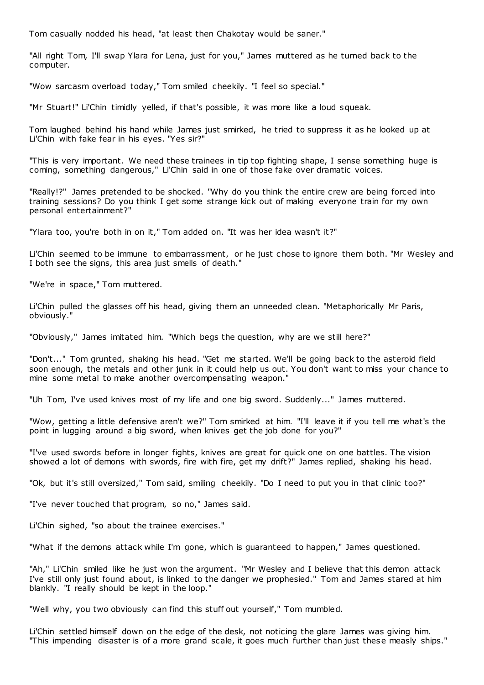Tom casually nodded his head, "at least then Chakotay would be saner."

"All right Tom, I'll swap Ylara for Lena, just for you," James muttered as he turned back to the computer.

"Wow sarcasm overload today," Tom smiled cheekily. "I feel so special."

"Mr Stuart!" Li'Chin timidly yelled, if that's possible, it was more like a loud squeak.

Tom laughed behind his hand while James just smirked, he tried to suppress it as he looked up at Li'Chin with fake fear in his eyes. "Yes sir?"

"This is very important. We need these trainees in tip top fighting shape, I sense something huge is coming, something dangerous," Li'Chin said in one of those fake over dramatic voices.

"Really!?" James pretended to be shocked. "Why do you think the entire crew are being forced into training sessions? Do you think I get some strange kick out of making everyone train for my own personal entertainment?"

"Ylara too, you're both in on it," Tom added on. "It was her idea wasn't it?"

Li'Chin seemed to be immune to embarrassment, or he just chose to ignore them both. "Mr Wesley and I both see the signs, this area just smells of death."

"We're in space," Tom muttered.

Li'Chin pulled the glasses off his head, giving them an unneeded clean. "Metaphorically Mr Paris, obviously."

"Obviously," James imitated him. "Which begs the question, why are we still here?"

"Don't..." Tom grunted, shaking his head. "Get me started. We'll be going back to the asteroid field soon enough, the metals and other junk in it could help us out. You don't want to miss your chance to mine some metal to make another overcompensating weapon."

"Uh Tom, I've used knives most of my life and one big sword. Suddenly..." James muttered.

"Wow, getting a little defensive aren't we?" Tom smirked at him. "I'll leave it if you tell me what's the point in lugging around a big sword, when knives get the job done for you?"

"I've used swords before in longer fights, knives are great for quick one on one battles. The vision showed a lot of demons with swords, fire with fire, get my drift?" James replied, shaking his head.

"Ok, but it's still oversized," Tom said, smiling cheekily. "Do I need to put you in that clinic too?"

"I've never touched that program, so no," James said.

Li'Chin sighed, "so about the trainee exercises."

"What if the demons attack while I'm gone, which is guaranteed to happen," James questioned.

"Ah," Li'Chin smiled like he just won the argument. "Mr Wesley and I believe that this demon attack I've still only just found about, is linked to the danger we prophesied." Tom and James stared at him blankly. "I really should be kept in the loop."

"Well why, you two obviously can find this stuff out yourself," Tom mumbled.

Li'Chin settled himself down on the edge of the desk, not noticing the glare James was giving him. "This impending disaster is of a more grand scale, it goes much further than just these measly ships."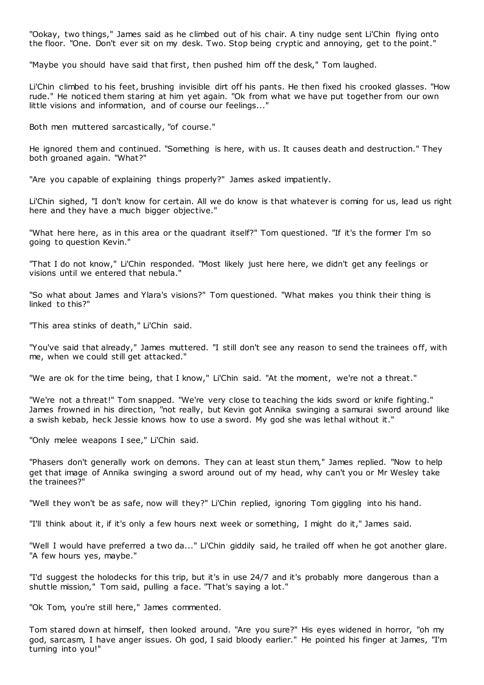"Ookay, two things," James said as he climbed out of his chair. A tiny nudge sent Li'Chin flying onto the floor. "One. Don't ever sit on my desk. Two. Stop being cryptic and annoying, get to the point."

"Maybe you should have said that first, then pushed him off the desk," Tom laughed.

Li'Chin climbed to his feet, brushing invisible dirt off his pants. He then fixed his crooked glasses. "How rude." He noticed them staring at him yet again. "Ok from what we have put together from our own little visions and information, and of course our feelings..."

Both men muttered sarcastically, "of course."

He ignored them and continued. "Something is here, with us. It causes death and destruction." They both groaned again. "What?"

"Are you capable of explaining things properly?" James asked impatiently.

Li'Chin sighed, "I don't know for certain. All we do know is that whatever is coming for us, lead us right here and they have a much bigger objective."

"What here here, as in this area or the quadrant itself?" Tom questioned. "If it's the former I'm so going to question Kevin."

"That I do not know," Li'Chin responded. "Most likely just here here, we didn't get any feelings or visions until we entered that nebula."

"So what about James and Ylara's visions?" Tom questioned. "What makes you think their thing is linked to this?"

"This area stinks of death," Li'Chin said.

"You've said that already," James muttered. "I still don't see any reason to send the trainees off, with me, when we could still get attacked."

"We are ok for the time being, that I know," Li'Chin said. "At the moment, we're not a threat."

"We're not a threat!" Tom snapped. "We're very close to teaching the kids sword or knife fighting." James frowned in his direction, "not really, but Kevin got Annika swinging a samurai sword around like a swish kebab, heck Jessie knows how to use a sword. My god she was lethal without it."

"Only melee weapons I see," Li'Chin said.

"Phasers don't generally work on demons. They can at least stun them," James replied. "Now to help get that image of Annika swinging a sword around out of my head, why can't you or Mr Wesley take the trainees?"

"Well they won't be as safe, now will they?" Li'Chin replied, ignoring Tom giggling into his hand.

"I'll think about it, if it's only a few hours next week or something, I might do it," James said.

"Well I would have preferred a two da..." Li'Chin giddily said, he trailed off when he got another glare. "A few hours yes, maybe."

"I'd suggest the holodecks for this trip, but it's in use 24/7 and it's probably more dangerous than a shuttle mission," Tom said, pulling a face. "That's saying a lot."

"Ok Tom, you're still here," James commented.

Tom stared down at himself, then looked around. "Are you sure?" His eyes widened in horror, "oh my god, sarcasm, I have anger issues. Oh god, I said bloody earlier." He pointed his finger at James, "I'm turning into you!"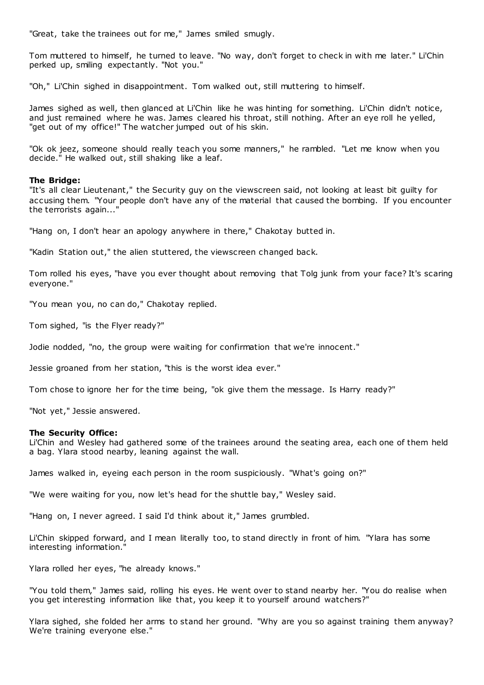"Great, take the trainees out for me," James smiled smugly.

Tom muttered to himself, he turned to leave. "No way, don't forget to check in with me later." Li'Chin perked up, smiling expectantly. "Not you."

"Oh," Li'Chin sighed in disappointment. Tom walked out, still muttering to himself.

James sighed as well, then glanced at Li'Chin like he was hinting for something. Li'Chin didn't notice, and just remained where he was. James cleared his throat, still nothing. After an eye roll he yelled, "get out of my office!" The watcher jumped out of his skin.

"Ok ok jeez, someone should really teach you some manners," he rambled. "Let me know when you decide." He walked out, still shaking like a leaf.

# **The Bridge:**

"It's all clear Lieutenant," the Security guy on the viewscreen said, not looking at least bit guilty for accusing them. "Your people don't have any of the material that caused the bombing. If you encounter the terrorists again...'

"Hang on, I don't hear an apology anywhere in there," Chakotay butted in.

"Kadin Station out," the alien stuttered, the viewscreen changed back.

Tom rolled his eyes, "have you ever thought about removing that Tolg junk from your face? It's scaring everyone."

"You mean you, no can do," Chakotay replied.

Tom sighed, "is the Flyer ready?"

Jodie nodded, "no, the group were waiting for confirmation that we're innocent."

Jessie groaned from her station, "this is the worst idea ever."

Tom chose to ignore her for the time being, "ok give them the message. Is Harry ready?"

"Not yet," Jessie answered.

# **The Security Office:**

Li'Chin and Wesley had gathered some of the trainees around the seating area, each one of them held a bag. Ylara stood nearby, leaning against the wall.

James walked in, eyeing each person in the room suspiciously. "What's going on?"

"We were waiting for you, now let's head for the shuttle bay," Wesley said.

"Hang on, I never agreed. I said I'd think about it," James grumbled.

Li'Chin skipped forward, and I mean literally too, to stand directly in front of him. "Ylara has some interesting information."

Ylara rolled her eyes, "he already knows."

"You told them," James said, rolling his eyes. He went over to stand nearby her. "You do realise when you get interesting information like that, you keep it to yourself around watchers?"

Ylara sighed, she folded her arms to stand her ground. "Why are you so against training them anyway? We're training everyone else."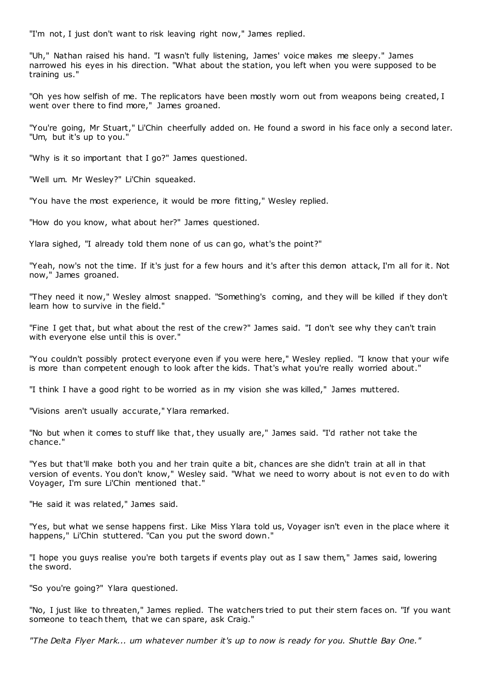"I'm not, I just don't want to risk leaving right now," James replied.

"Uh," Nathan raised his hand. "I wasn't fully listening, James' voice makes me sleepy." James narrowed his eyes in his direction. "What about the station, you left when you were supposed to be training us."

"Oh yes how selfish of me. The replicators have been mostly worn out from weapons being created, I went over there to find more," James groaned.

"You're going, Mr Stuart," Li'Chin cheerfully added on. He found a sword in his face only a second later. "Um, but it's up to you."

"Why is it so important that I go?" James questioned.

"Well um. Mr Wesley?" Li'Chin squeaked.

"You have the most experience, it would be more fitting," Wesley replied.

"How do you know, what about her?" James questioned.

Ylara sighed, "I already told them none of us can go, what's the point?"

"Yeah, now's not the time. If it's just for a few hours and it's after this demon attack, I'm all for it. Not now," James groaned.

"They need it now," Wesley almost snapped. "Something's coming, and they will be killed if they don't learn how to survive in the field."

"Fine I get that, but what about the rest of the crew?" James said. "I don't see why they can't train with everyone else until this is over."

"You couldn't possibly protect everyone even if you were here," Wesley replied. "I know that your wife is more than competent enough to look after the kids. That's what you're really worried about."

"I think I have a good right to be worried as in my vision she was killed," James muttered.

"Visions aren't usually accurate," Ylara remarked.

"No but when it comes to stuff like that, they usually are," James said. "I'd rather not take the chance."

"Yes but that'll make both you and her train quite a bit, chances are she didn't train at all in that version of events. You don't know," Wesley said. "What we need to worry about is not even to do with Voyager, I'm sure Li'Chin mentioned that."

"He said it was related," James said.

"Yes, but what we sense happens first. Like Miss Ylara told us, Voyager isn't even in the place where it happens," Li'Chin stuttered. "Can you put the sword down."

"I hope you guys realise you're both targets if events play out as I saw them," James said, lowering the sword.

"So you're going?" Ylara questioned.

"No, I just like to threaten," James replied. The watchers tried to put their stern faces on. "If you want someone to teach them, that we can spare, ask Craig."

*"The Delta Flyer Mark... um whatever number it's up to now is ready for you. Shuttle Bay One."*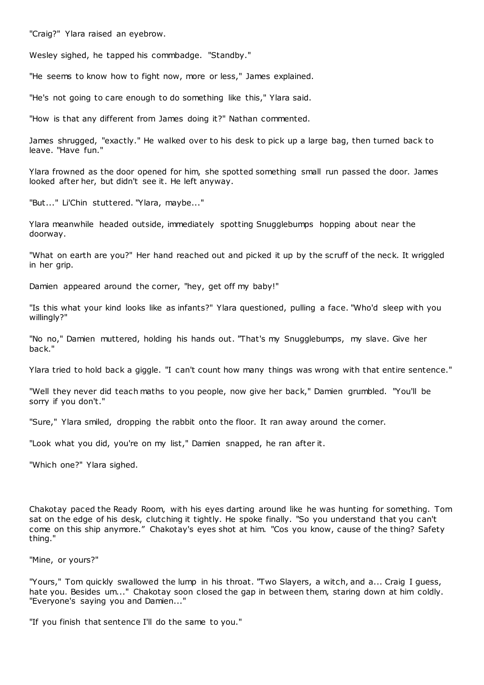"Craig?" Ylara raised an eyebrow.

Wesley sighed, he tapped his commbadge. "Standby."

"He seems to know how to fight now, more or less," James explained.

"He's not going to care enough to do something like this," Ylara said.

"How is that any different from James doing it?" Nathan commented.

James shrugged, "exactly." He walked over to his desk to pick up a large bag, then turned back to leave. "Have fun."

Ylara frowned as the door opened for him, she spotted something small run passed the door. James looked after her, but didn't see it. He left anyway.

"But..." Li'Chin stuttered. "Ylara, maybe..."

Ylara meanwhile headed outside, immediately spotting Snugglebumps hopping about near the doorway.

"What on earth are you?" Her hand reached out and picked it up by the scruff of the neck. It wriggled in her grip.

Damien appeared around the corner, "hey, get off my baby!"

"Is this what your kind looks like as infants?" Ylara questioned, pulling a face. "Who'd sleep with you willingly?"

"No no," Damien muttered, holding his hands out. "That's my Snugglebumps, my slave. Give her back."

Ylara tried to hold back a giggle. "I can't count how many things was wrong with that entire sentence."

"Well they never did teach maths to you people, now give her back," Damien grumbled. "You'll be sorry if you don't."

"Sure," Ylara smiled, dropping the rabbit onto the floor. It ran away around the corner.

"Look what you did, you're on my list," Damien snapped, he ran after it.

"Which one?" Ylara sighed.

Chakotay paced the Ready Room, with his eyes darting around like he was hunting for something. Tom sat on the edge of his desk, clutching it tightly. He spoke finally. "So you understand that you can't come on this ship anymore." Chakotay's eyes shot at him. "Cos you know, cause of the thing? Safety thing."

"Mine, or yours?"

"Yours," Tom quickly swallowed the lump in his throat. "Two Slayers, a witch, and a... Craig I guess, hate you. Besides um..." Chakotay soon closed the gap in between them, staring down at him coldly. "Everyone's saying you and Damien..."

"If you finish that sentence I'll do the same to you."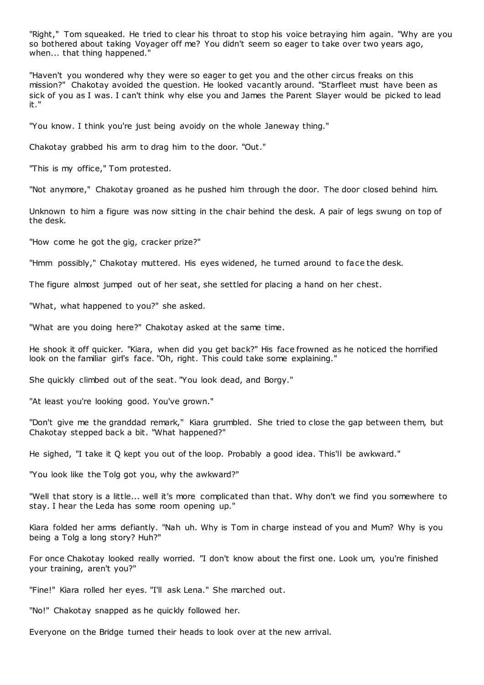"Right," Tom squeaked. He tried to clear his throat to stop his voice betraying him again. "Why are you so bothered about taking Voyager off me? You didn't seem so eager to take over two years ago, when... that thing happened."

"Haven't you wondered why they were so eager to get you and the other circus freaks on this mission?" Chakotay avoided the question. He looked vacantly around. "Starfleet must have been as sick of you as I was. I can't think why else you and James the Parent Slayer would be picked to lead it."

"You know. I think you're just being avoidy on the whole Janeway thing."

Chakotay grabbed his arm to drag him to the door. "Out."

"This is my office," Tom protested.

"Not anymore," Chakotay groaned as he pushed him through the door. The door closed behind him.

Unknown to him a figure was now sitting in the chair behind the desk. A pair of legs swung on top of the desk.

"How come he got the gig, cracker prize?"

"Hmm possibly," Chakotay muttered. His eyes widened, he turned around to face the desk.

The figure almost jumped out of her seat, she settled for placing a hand on her chest.

"What, what happened to you?" she asked.

"What are you doing here?" Chakotay asked at the same time.

He shook it off quicker. "Kiara, when did you get back?" His face frowned as he noticed the horrified look on the familiar girl's face. "Oh, right. This could take some explaining."

She quickly climbed out of the seat. "You look dead, and Borgy."

"At least you're looking good. You've grown."

"Don't give me the granddad remark," Kiara grumbled. She tried to close the gap between them, but Chakotay stepped back a bit. "What happened?"

He sighed, "I take it Q kept you out of the loop. Probably a good idea. This'll be awkward."

"You look like the Tolg got you, why the awkward?"

"Well that story is a little... well it's more complicated than that. Why don't we find you somewhere to stay. I hear the Leda has some room opening up."

Kiara folded her arms defiantly. "Nah uh. Why is Tom in charge instead of you and Mum? Why is you being a Tolg a long story? Huh?"

For once Chakotay looked really worried. "I don't know about the first one. Look um, you're finished your training, aren't you?"

"Fine!" Kiara rolled her eyes. "I'll ask Lena." She marched out.

"No!" Chakotay snapped as he quickly followed her.

Everyone on the Bridge turned their heads to look over at the new arrival.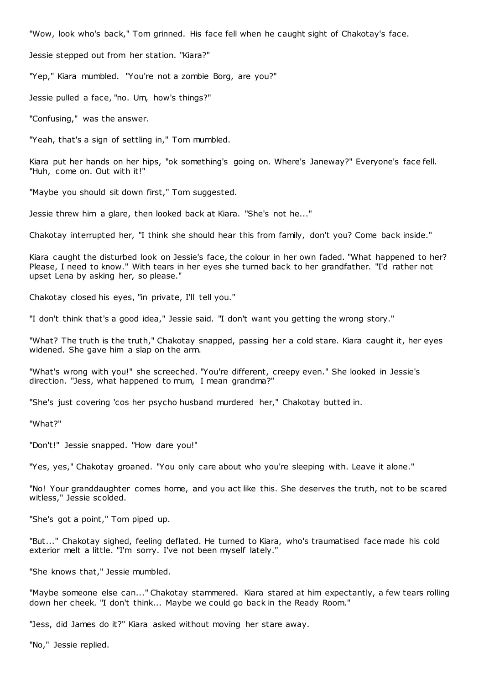"Wow, look who's back," Tom grinned. His face fell when he caught sight of Chakotay's face.

Jessie stepped out from her station. "Kiara?"

"Yep," Kiara mumbled. "You're not a zombie Borg, are you?"

Jessie pulled a face, "no. Um, how's things?"

"Confusing," was the answer.

"Yeah, that's a sign of settling in," Tom mumbled.

Kiara put her hands on her hips, "ok something's going on. Where's Janeway?" Everyone's face fell. "Huh, come on. Out with it!"

"Maybe you should sit down first," Tom suggested.

Jessie threw him a glare, then looked back at Kiara. "She's not he..."

Chakotay interrupted her, "I think she should hear this from family, don't you? Come back inside."

Kiara caught the disturbed look on Jessie's face, the colour in her own faded. "What happened to her? Please, I need to know." With tears in her eyes she turned back to her grandfather. "I'd rather not upset Lena by asking her, so please."

Chakotay closed his eyes, "in private, I'll tell you."

"I don't think that's a good idea," Jessie said. "I don't want you getting the wrong story."

"What? The truth is the truth," Chakotay snapped, passing her a cold stare. Kiara caught it, her eyes widened. She gave him a slap on the arm.

"What's wrong with you!" she screeched. "You're different, creepy even." She looked in Jessie's direction. "Jess, what happened to mum, I mean grandma?"

"She's just covering 'cos her psycho husband murdered her," Chakotay butted in.

"What?"

"Don't!" Jessie snapped. "How dare you!"

"Yes, yes," Chakotay groaned. "You only care about who you're sleeping with. Leave it alone."

"No! Your granddaughter comes home, and you act like this. She deserves the truth, not to be scared witless," Jessie scolded.

"She's got a point," Tom piped up.

"But..." Chakotay sighed, feeling deflated. He turned to Kiara, who's traumatised face made his cold exterior melt a little. "I'm sorry. I've not been myself lately."

"She knows that," Jessie mumbled.

"Maybe someone else can..." Chakotay stammered. Kiara stared at him expectantly, a few tears rolling down her cheek. "I don't think... Maybe we could go back in the Ready Room."

"Jess, did James do it?" Kiara asked without moving her stare away.

"No," Jessie replied.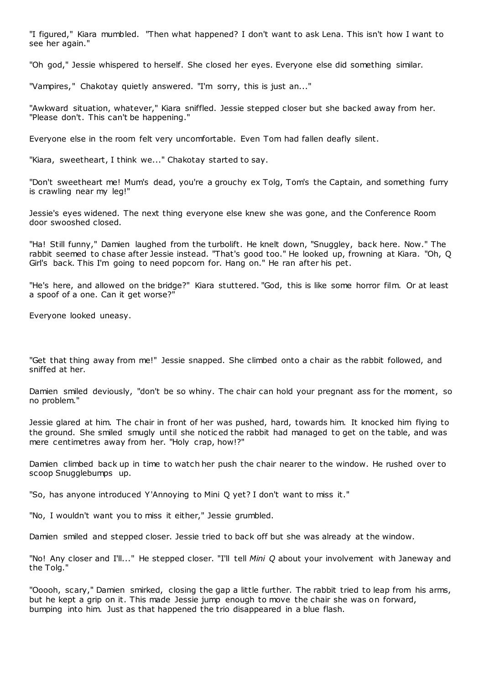"I figured," Kiara mumbled. "Then what happened? I don't want to ask Lena. This isn't how I want to see her again."

"Oh god," Jessie whispered to herself. She closed her eyes. Everyone else did something similar.

"Vampires," Chakotay quietly answered. "I'm sorry, this is just an..."

"Awkward situation, whatever," Kiara sniffled. Jessie stepped closer but she backed away from her. "Please don't. This can't be happening."

Everyone else in the room felt very uncomfortable. Even Tom had fallen deafly silent.

"Kiara, sweetheart, I think we..." Chakotay started to say.

"Don't sweetheart me! Mum's dead, you're a grouchy ex Tolg, Tom's the Captain, and something furry is crawling near my leg!"

Jessie's eyes widened. The next thing everyone else knew she was gone, and the Conference Room door swooshed closed.

"Ha! Still funny," Damien laughed from the turbolift. He knelt down, "Snuggley, back here. Now." The rabbit seemed to chase after Jessie instead. "That's good too." He looked up, frowning at Kiara. "Oh, Q Girl's back. This I'm going to need popcorn for. Hang on." He ran after his pet.

"He's here, and allowed on the bridge?" Kiara stuttered. "God, this is like some horror film. Or at least a spoof of a one. Can it get worse?"

Everyone looked uneasy.

"Get that thing away from me!" Jessie snapped. She climbed onto a chair as the rabbit followed, and sniffed at her.

Damien smiled deviously, "don't be so whiny. The chair can hold your pregnant ass for the moment, so no problem."

Jessie glared at him. The chair in front of her was pushed, hard, towards him. It knocked him flying to the ground. She smiled smugly until she notic ed the rabbit had managed to get on the table, and was mere centimetres away from her. "Holy crap, how!?"

Damien climbed back up in time to watch her push the chair nearer to the window. He rushed over to scoop Snugglebumps up.

"So, has anyone introduced Y'Annoying to Mini Q yet? I don't want to miss it."

"No, I wouldn't want you to miss it either," Jessie grumbled.

Damien smiled and stepped closer. Jessie tried to back off but she was already at the window.

"No! Any closer and I'll..." He stepped closer. "I'll tell *Mini Q* about your involvement with Janeway and the Tolg."

"Ooooh, scary," Damien smirked, closing the gap a little further. The rabbit tried to leap from his arms, but he kept a grip on it. This made Jessie jump enough to move the chair she was on forward, bumping into him. Just as that happened the trio disappeared in a blue flash.